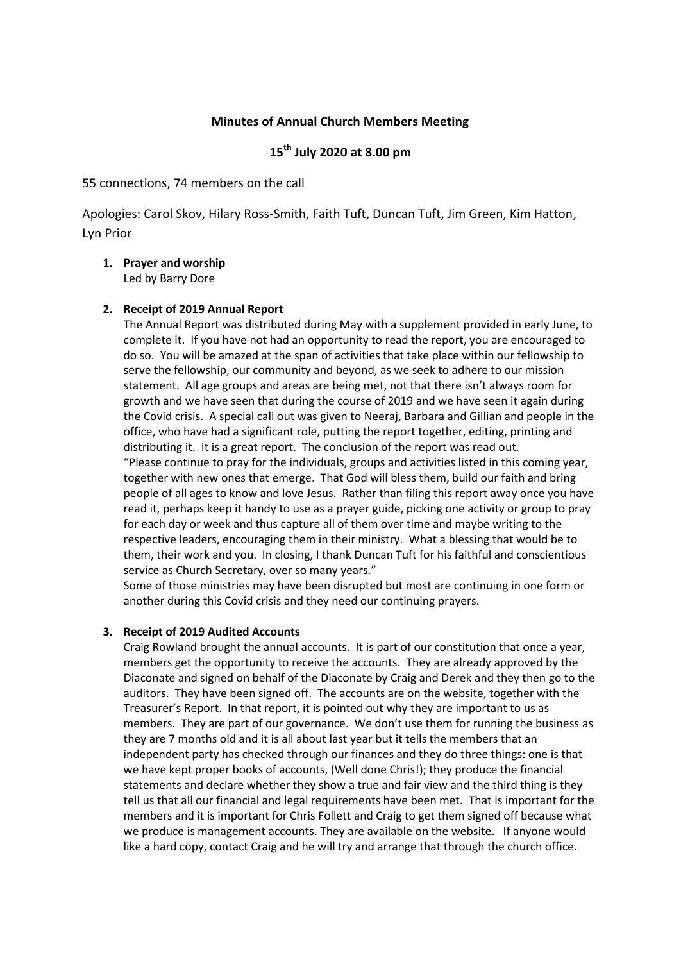## **Minutes of Annual Church Members Meeting**

# **15th July 2020 at 8.00 pm**

55 connections, 74 members on the call

Apologies: Carol Skov, Hilary Ross-Smith, Faith Tuft, Duncan Tuft, Jim Green, Kim Hatton, Lyn Prior

**1. Prayer and worship**  Led by Barry Dore

#### **2. Receipt of 2019 Annual Report**

The Annual Report was distributed during May with a supplement provided in early June, to complete it. If you have not had an opportunity to read the report, you are encouraged to do so. You will be amazed at the span of activities that take place within our fellowship to serve the fellowship, our community and beyond, as we seek to adhere to our mission statement. All age groups and areas are being met, not that there isn't always room for growth and we have seen that during the course of 2019 and we have seen it again during the Covid crisis. A special call out was given to Neeraj, Barbara and Gillian and people in the office, who have had a significant role, putting the report together, editing, printing and distributing it. It is a great report. The conclusion of the report was read out. "Please continue to pray for the individuals, groups and activities listed in this coming year, together with new ones that emerge. That God will bless them, build our faith and bring people of all ages to know and love Jesus. Rather than filing this report away once you have read it, perhaps keep it handy to use as a prayer guide, picking one activity or group to pray for each day or week and thus capture all of them over time and maybe writing to the respective leaders, encouraging them in their ministry. What a blessing that would be to them, their work and you. In closing, I thank Duncan Tuft for his faithful and conscientious service as Church Secretary, over so many years."

Some of those ministries may have been disrupted but most are continuing in one form or another during this Covid crisis and they need our continuing prayers.

#### **3. Receipt of 2019 Audited Accounts**

Craig Rowland brought the annual accounts. It is part of our constitution that once a year, members get the opportunity to receive the accounts. They are already approved by the Diaconate and signed on behalf of the Diaconate by Craig and Derek and they then go to the auditors. They have been signed off. The accounts are on the website, together with the Treasurer's Report. In that report, it is pointed out why they are important to us as members. They are part of our governance. We don't use them for running the business as they are 7 months old and it is all about last year but it tells the members that an independent party has checked through our finances and they do three things: one is that we have kept proper books of accounts, (Well done Chris!); they produce the financial statements and declare whether they show a true and fair view and the third thing is they tell us that all our financial and legal requirements have been met. That is important for the members and it is important for Chris Follett and Craig to get them signed off because what we produce is management accounts. They are available on the website. If anyone would like a hard copy, contact Craig and he will try and arrange that through the church office.